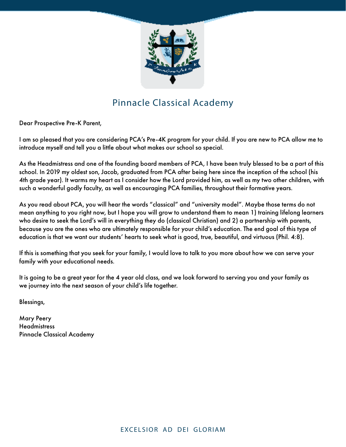

# Pinnacle Classical Academy

Dear Prospective Pre-K Parent,

I am so pleased that you are considering PCA's Pre-4K program for your child. If you are new to PCA allow me to introduce myself and tell you a little about what makes our school so special.

As the Headmistress and one of the founding board members of PCA, I have been truly blessed to be a part of this school. In 2019 my oldest son, Jacob, graduated from PCA after being here since the inception of the school (his 4th grade year). It warms my heart as I consider how the Lord provided him, as well as my two other children, with such a wonderful godly faculty, as well as encouraging PCA families, throughout their formative years.

As you read about PCA, you will hear the words "classical" and "university model". Maybe those terms do not mean anything to you right now, but I hope you will grow to understand them to mean 1) training lifelong learners who desire to seek the Lord's will in everything they do (classical Christian) and 2) a partnership with parents, because you are the ones who are ultimately responsible for your child's education. The end goal of this type of education is that we want our students' hearts to seek what is good, true, beautiful, and virtuous (Phil. 4:8).

If this is something that you seek for your family, I would love to talk to you more about how we can serve your family with your educational needs.

It is going to be a great year for the 4 year old class, and we look forward to serving you and your family as we journey into the next season of your child's life together.

Blessings,

Mary Peery **Headmistress** Pinnacle Classical Academy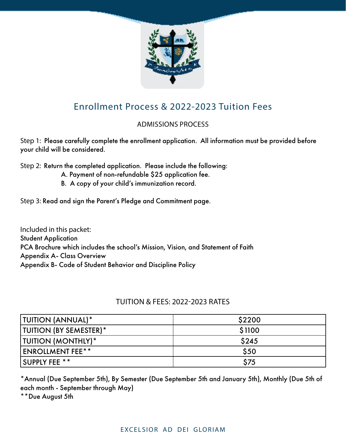

## Enrollment Process & 2022-2023 Tuition Fees

### ADMISSIONS PROCESS

Step 1: Please carefully complete the enrollment application. All information must be provided before your child will be considered.

Step 2: Return the completed application. Please include the following:

- A. Payment of non-refundable \$25 application fee.
- B. A copy of your child's immunization record.

Step 3: Read and sign the Parent's Pledge and Commitment page.

Included in this packet: Student Application PCA Brochure which includes the school's Mission, Vision, and Statement of Faith Appendix A- Class Overview Appendix B- Code of Student Behavior and Discipline Policy

### TUITION & FEES: 2022-2023 RATES

| TUITION (ANNUAL)*             | \$2200 |
|-------------------------------|--------|
| <b>TUITION (BY SEMESTER)*</b> | \$1100 |
| TUITION (MONTHLY) *           | \$245  |
| <b>ENROLLMENT FEE**</b>       | \$50   |
| <b>SUPPLY FEE **</b>          | \$75   |

\*Annual (Due September 5th), By Semester (Due September 5th and January 5th), Monthly (Due 5th of each month - September through May)

\*\*Due August 5th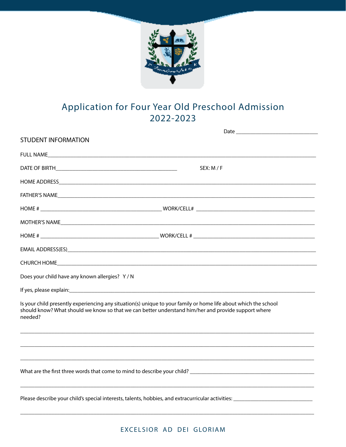

## Application for Four Year Old Preschool Admission 2022-2023

| <b>STUDENT INFORMATION</b>                                                                                                                                                                                                        |            |
|-----------------------------------------------------------------------------------------------------------------------------------------------------------------------------------------------------------------------------------|------------|
|                                                                                                                                                                                                                                   |            |
|                                                                                                                                                                                                                                   | SEX: M / F |
|                                                                                                                                                                                                                                   |            |
|                                                                                                                                                                                                                                   |            |
|                                                                                                                                                                                                                                   |            |
|                                                                                                                                                                                                                                   |            |
|                                                                                                                                                                                                                                   |            |
|                                                                                                                                                                                                                                   |            |
|                                                                                                                                                                                                                                   |            |
| Does your child have any known allergies? Y/N                                                                                                                                                                                     |            |
|                                                                                                                                                                                                                                   |            |
| Is your child presently experiencing any situation(s) unique to your family or home life about which the school<br>should know? What should we know so that we can better understand him/her and provide support where<br>needed? |            |
|                                                                                                                                                                                                                                   |            |
|                                                                                                                                                                                                                                   |            |
|                                                                                                                                                                                                                                   |            |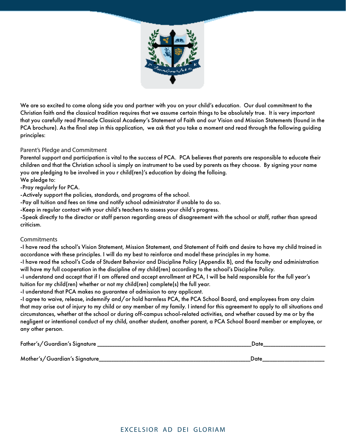

We are so excited to come along side you and partner with you on your child's education. Our dual commitment to the Christian faith and the classical tradition requires that we assume certain things to be absolutely true. It is very important that you carefully read Pinnacle Classical Academy's Statement of Faith and our Vision and Mission Statements (found in the PCA brochure). As the final step in this application, we ask that you take a moment and read through the following guiding principles:

#### Parent's Pledge and Commitment

Parental support and participation is vital to the success of PCA. PCA believes that parents are responsible to educate their children and that the Christian school is simply an instrument to be used by parents as they choose. By signing your name you are pledging to be involved in you r child(ren)'s education by doing the folloing.

We pledge to:

-Pray regularly for PCA.

-Actively support the policies, standards, and programs of the school.

-Pay all tuition and fees on time and notify school administrator if unable to do so.

-Keep in regular contact with your child's teachers to assess your child's progress.

-Speak directly to the director or staff person regarding areas of disagreement with the school or staff, rather than spread criticism.

#### **Commitments**

-I have read the school's Vision Statement, Mission Statement, and Statement of Faith and desire to have my child trained in accordance with these principles. I will do my best to reinforce and model these principles in my home.

-I have read the school's Code of Student Behavior and Discipline Policy (Appendix B), and the faculty and administration will have my full cooperation in the discipline of my child(ren) according to the school's Discipline Policy.

-I understand and accept that if I am offered and accept enrollment at PCA, I will be held responsible for the full year's tuition for my child(ren) whether or not my child(ren) complete(s) the full year.

-I understand that PCA makes no guarantee of admission to any applicant.

-I agree to waive, release, indemnify and/or hold harmless PCA, the PCA School Board, and employees from any claim that may arise out of injury to my child or any member of my family. I intend for this agreement to apply to all situations and circumstances, whether at the school or during off-campus school-related activities, and whether caused by me or by the negligent or intentional conduct of my child, another student, another parent, a PCA School Board member or employee, or any other person.

| Father's/Guardian's Signature | Date |  |
|-------------------------------|------|--|
|                               |      |  |
| Mother's/Guardian's Signature | Date |  |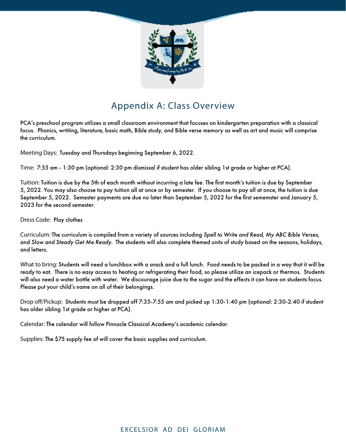

### Appendix A: Class Overview

PCA's preschool program utilizes a small classroom environment that focuses on kindergarten preparation with a classical focus. Phonics, wrtiting, literature, basic math, Bible study, and Bible verse memory as well as art and music will comprise the curriculum.

Meeting Days: Tuesday and Thursdays beginning September 6, 2022.

Time: 7:55 am - 1:30 pm (optional: 2:30 pm dismissal if student has older sibling 1st grade or higher at PCA).

Tuition: Tuition is due by the 5th of each month without incurring a late fee. The first month's tuition is due by September 5, 2022. You may also choose to pay tuition all at once or by semester. If you choose to pay all at once, the tuition is due September 5, 2022. Semester payments are due no later than September 5, 2022 for the first sememster and January 5, 2023 for the second semester.

Dress Code: Play clothes

Curriculum: The curriculum is compiled from a variety of sources including *Spell to Write and Read, My ABC Bible Verses,*  and *Slow and Steady Get Me Ready.* The students will also complete themed units of study based on the seasons, holidays, and letters.

What to bring: Students will need a lunchbox with a snack and a full lunch. Food needs to be packed in a way that it will be ready to eat. There is no easy access to heating or refrigerating their food, so please utilize an icepack or thermos. Students will also need a water bottle with water. We discourage juice due to the sugar and the effects it can have on students focus. Please put your child's name on all of their belongings.

Drop off/Pickup: Students must be dropped off 7:35-7:55 am and picked up 1:30-1:40 pm (optional: 2:30-2:40 if student has older sibling 1st grade or higher at PCA).

Calendar: The calendar will follow Pinnacle Classical Academy's academic calendar.

Supplies: The \$75 supply fee of will cover the basic supplies and curriculum.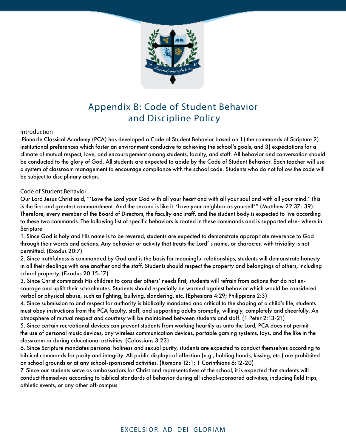

### Appendix B: Code of Student Behavior and Discipline Policy

#### Introduction

 Pinnacle Classical Academy (PCA) has developed a Code of Student Behavior based on 1) the commands of Scripture 2) institutional preferences which foster an environment conducive to achieving the school's goals, and 3) expectations for a climate of mutual respect, love, and encouragement among students, faculty, and staff. All behavior and conversation should be conducted to the glory of God. All students are expected to abide by the Code of Student Behavior. Each teacher will use a system of classroom management to encourage compliance with the school code. Students who do not follow the code will be subject to disciplinary action.

#### Code of Student Behavior

Our Lord Jesus Christ said, "'Love the Lord your God with all your heart and with all your soul and with all your mind.' This is the first and greatest commandment. And the second is like it: 'Love your neighbor as yourself'" (Matthew 22:37- 39). Therefore, every member of the Board of Directors, the faculty and staff, and the student body is expected to live according to these two commands. The following list of specific behaviors is rooted in these commands and is supported else- where in Scripture:

1. Since God is holy and His name is to be revered, students are expected to demonstrate appropriate reverence to God through their words and actions. Any behavior or activity that treats the Lord' s name, or character, with triviality is not permitted. (Exodus 20:7)

2. Since truthfulness is commanded by God and is the basis for meaningful relationships, students will demonstrate honesty in all their dealings with one another and the staff. Students should respect the property and belongings of others, including school property. (Exodus 20:15-17)

3. Since Christ commands His children to consider others' needs first, students will refrain from actions that do not encourage and uplift their schoolmates. Students should especially be warned against behavior which would be considered verbal or physical abuse, such as fighting, bullying, slandering, etc. (Ephesians 4:29; Philippians 2:3)

4. Since submission to and respect for authority is biblically mandated and critical to the shaping of a child's life, students must obey instructions from the PCA faculty, staff, and supporting adults promptly, willingly, completely and cheerfully. An atmosphere of mutual respect and courtesy will be maintained between students and staff. (1 Peter 2:13-21)

5. Since certain recreational devices can prevent students from working heartily as unto the Lord, PCA does not permit the use of personal music devices, any wireless communication devices, portable gaming systems, toys, and the like in the classroom or during educational activities. (Colossians 3:23)

6. Since Scripture mandates personal holiness and sexual purity, students are expected to conduct themselves according to biblical commands for purity and integrity. All public displays of affection (e.g., holding hands, kissing, etc.) are prohibited on school grounds or at any school-sponsored activities. (Romans 12:1; 1 Corinthians 6:12-20)

7. Since our students serve as ambassadors for Christ and representatives of the school, it is expected that students will conduct themselves according to biblical standards of behavior during all school-sponsored activities, including field trips, athletic events, or any other off-campus